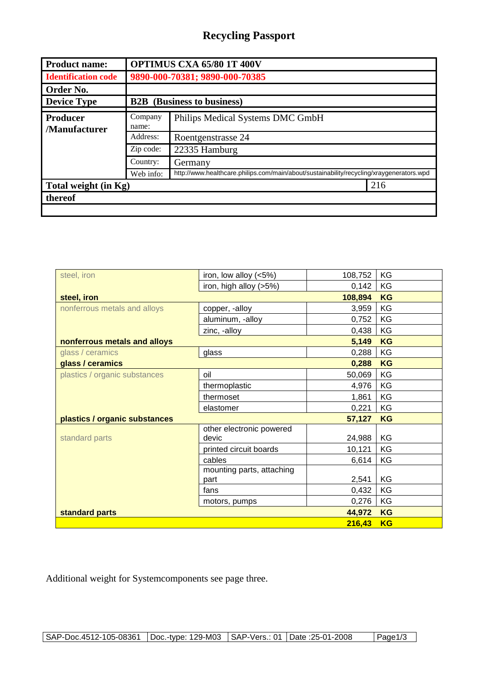## **Recycling Passport**

| <b>Product name:</b>             | <b>OPTIMUS CXA 65/80 1T 400V</b>  |                                                                                          |  |  |
|----------------------------------|-----------------------------------|------------------------------------------------------------------------------------------|--|--|
| <b>Identification code</b>       | 9890-000-70381; 9890-000-70385    |                                                                                          |  |  |
| Order No.                        |                                   |                                                                                          |  |  |
| <b>Device Type</b>               | <b>B2B</b> (Business to business) |                                                                                          |  |  |
| <b>Producer</b><br>/Manufacturer | Company<br>name:                  | Philips Medical Systems DMC GmbH                                                         |  |  |
|                                  | Address:                          | Roentgenstrasse 24                                                                       |  |  |
|                                  | Zip code:                         | 22335 Hamburg                                                                            |  |  |
|                                  | Country:                          | Germany                                                                                  |  |  |
|                                  | Web info:                         | http://www.healthcare.philips.com/main/about/sustainability/recycling/xraygenerators.wpd |  |  |
| Total weight (in Kg)             |                                   | 216                                                                                      |  |  |
| thereof                          |                                   |                                                                                          |  |  |
|                                  |                                   |                                                                                          |  |  |

| steel, iron                   | iron, low alloy $(<5%)$   | 108,752   | KG        |
|-------------------------------|---------------------------|-----------|-----------|
|                               | iron, high alloy (>5%)    | 0,142     | KG        |
| steel, iron                   | 108,894                   | <b>KG</b> |           |
| nonferrous metals and alloys  | copper, -alloy            | 3,959     | KG        |
|                               | aluminum, -alloy          | 0,752     | KG        |
|                               | zinc, -alloy              | 0,438     | KG        |
| nonferrous metals and alloys  |                           | 5,149     | <b>KG</b> |
| glass / ceramics              | glass                     | 0,288     | KG        |
| glass / ceramics              |                           | 0,288     | <b>KG</b> |
| plastics / organic substances | oil                       | 50,069    | KG        |
|                               | thermoplastic             | 4,976     | KG        |
|                               | thermoset                 | 1,861     | KG        |
|                               | elastomer                 | 0,221     | KG        |
| plastics / organic substances | 57,127                    | <b>KG</b> |           |
|                               | other electronic powered  |           |           |
| standard parts                | devic                     | 24,988    | KG        |
|                               | printed circuit boards    | 10,121    | KG        |
|                               | cables                    | 6,614     | KG        |
|                               | mounting parts, attaching |           |           |
|                               | part                      | 2,541     | KG        |
|                               | fans                      | 0,432     | KG        |
|                               | motors, pumps             | 0,276     | KG        |
| standard parts                | 44,972                    | <b>KG</b> |           |
|                               |                           | 216,43    | <b>KG</b> |

Additional weight for Systemcomponents see page three.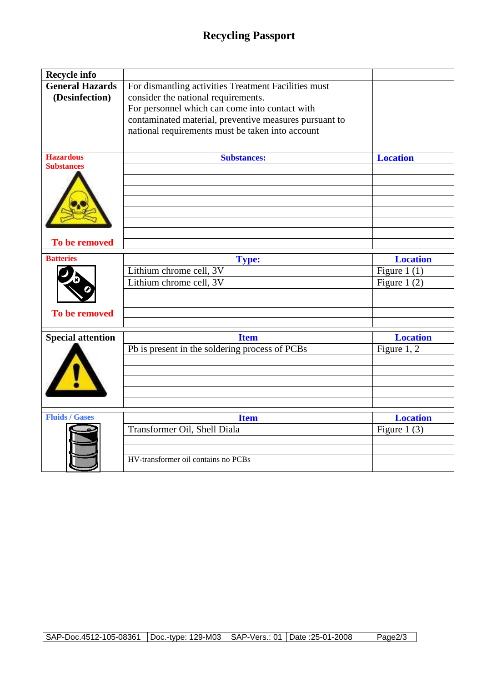## **Recycling Passport**

| Recycle info             |                                                        |                 |
|--------------------------|--------------------------------------------------------|-----------------|
| <b>General Hazards</b>   | For dismantling activities Treatment Facilities must   |                 |
| (Desinfection)           | consider the national requirements.                    |                 |
|                          | For personnel which can come into contact with         |                 |
|                          | contaminated material, preventive measures pursuant to |                 |
|                          | national requirements must be taken into account       |                 |
|                          |                                                        |                 |
| <b>Hazardous</b>         | <b>Substances:</b>                                     | <b>Location</b> |
| <b>Substances</b>        |                                                        |                 |
|                          |                                                        |                 |
|                          |                                                        |                 |
|                          |                                                        |                 |
|                          |                                                        |                 |
|                          |                                                        |                 |
| To be removed            |                                                        |                 |
| <b>Batteries</b>         | <b>Type:</b>                                           | <b>Location</b> |
|                          | Lithium chrome cell, 3V                                | Figure 1 $(1)$  |
|                          | Lithium chrome cell, 3V                                | Figure 1 $(2)$  |
|                          |                                                        |                 |
|                          |                                                        |                 |
| To be removed            |                                                        |                 |
| <b>Special attention</b> | <b>Item</b>                                            | <b>Location</b> |
|                          | Pb is present in the soldering process of PCBs         | Figure $1, 2$   |
|                          |                                                        |                 |
|                          |                                                        |                 |
|                          |                                                        |                 |
|                          |                                                        |                 |
|                          |                                                        |                 |
| <b>Fluids / Gases</b>    | <b>Item</b>                                            | <b>Location</b> |
|                          | Transformer Oil, Shell Diala                           | Figure 1 $(3)$  |
|                          |                                                        |                 |
|                          | HV-transformer oil contains no PCBs                    |                 |
|                          |                                                        |                 |